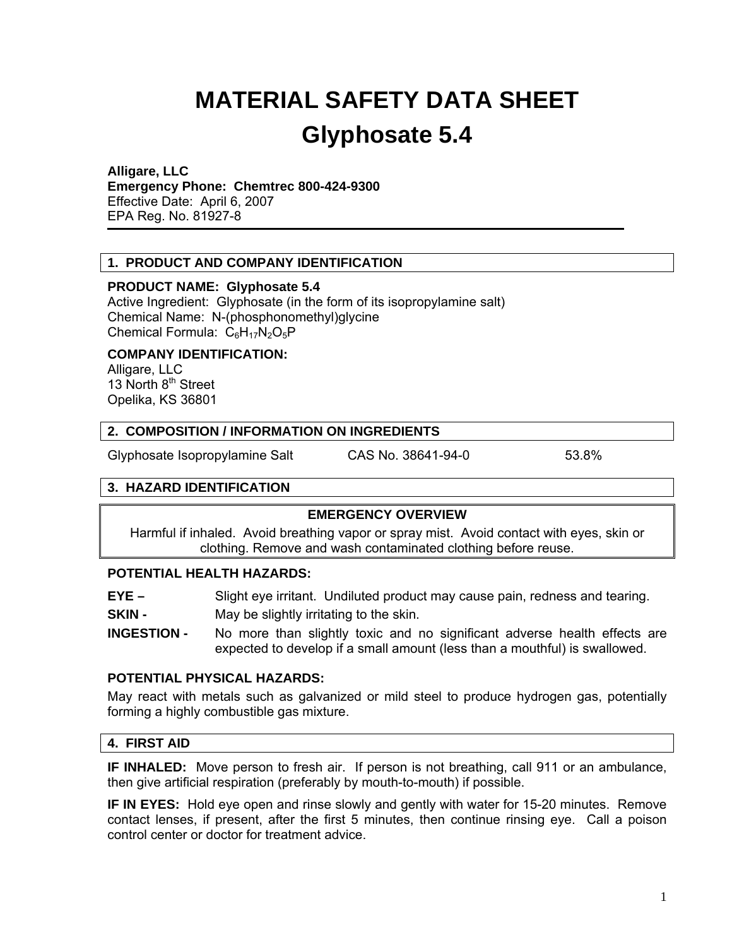# **MATERIAL SAFETY DATA SHEET Glyphosate 5.4**

#### **Alligare, LLC**

**Emergency Phone: Chemtrec 800-424-9300** 

Effective Date: April 6, 2007 EPA Reg. No. 81927-8

## **1. PRODUCT AND COMPANY IDENTIFICATION**

#### **PRODUCT NAME: Glyphosate 5.4**

Active Ingredient: Glyphosate (in the form of its isopropylamine salt) Chemical Name: N-(phosphonomethyl)glycine Chemical Formula:  $C_6H_{17}N_2O_5P$ 

#### **COMPANY IDENTIFICATION:**

Alligare, LLC 13 North 8<sup>th</sup> Street Opelika, KS 36801

#### **2. COMPOSITION / INFORMATION ON INGREDIENTS**

Glyphosate Isopropylamine Salt CAS No. 38641-94-0 53.8%

## **3. HAZARD IDENTIFICATION**

## **EMERGENCY OVERVIEW**

Harmful if inhaled. Avoid breathing vapor or spray mist. Avoid contact with eyes, skin or clothing. Remove and wash contaminated clothing before reuse.

#### **POTENTIAL HEALTH HAZARDS:**

**EYE –** Slight eye irritant. Undiluted product may cause pain, redness and tearing.

**SKIN -** May be slightly irritating to the skin.

**INGESTION -** No more than slightly toxic and no significant adverse health effects are expected to develop if a small amount (less than a mouthful) is swallowed.

#### **POTENTIAL PHYSICAL HAZARDS:**

May react with metals such as galvanized or mild steel to produce hydrogen gas, potentially forming a highly combustible gas mixture.

## **4. FIRST AID**

**IF INHALED:** Move person to fresh air. If person is not breathing, call 911 or an ambulance, then give artificial respiration (preferably by mouth-to-mouth) if possible.

**IF IN EYES:** Hold eye open and rinse slowly and gently with water for 15-20 minutes. Remove contact lenses, if present, after the first 5 minutes, then continue rinsing eye. Call a poison control center or doctor for treatment advice.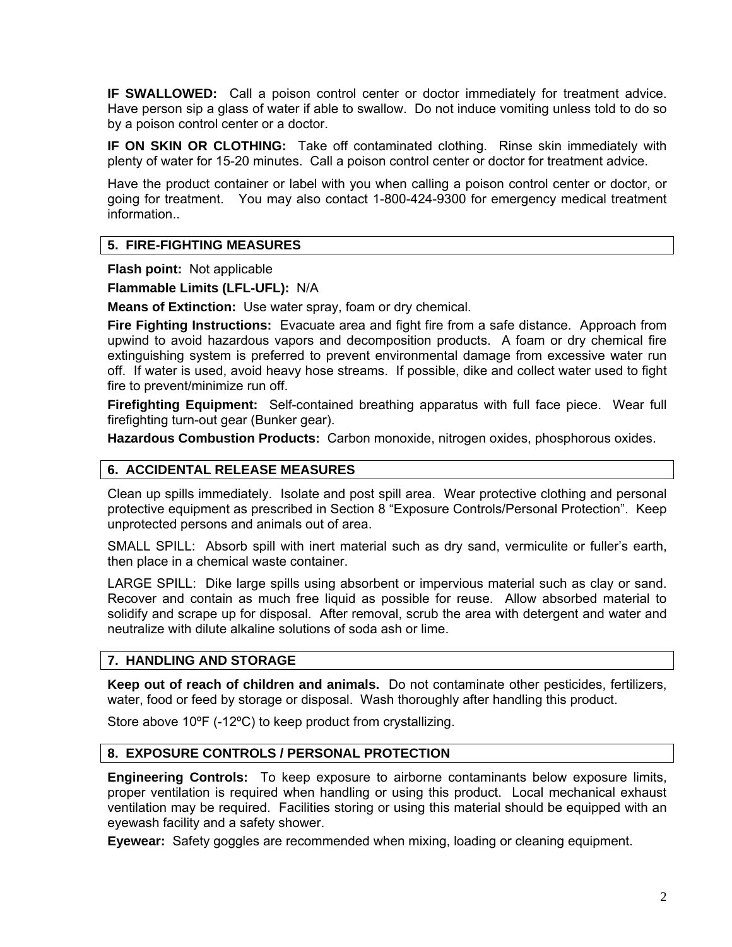**IF SWALLOWED:** Call a poison control center or doctor immediately for treatment advice. Have person sip a glass of water if able to swallow. Do not induce vomiting unless told to do so by a poison control center or a doctor.

**IF ON SKIN OR CLOTHING:** Take off contaminated clothing. Rinse skin immediately with plenty of water for 15-20 minutes. Call a poison control center or doctor for treatment advice.

Have the product container or label with you when calling a poison control center or doctor, or going for treatment. You may also contact 1-800-424-9300 for emergency medical treatment information..

# **5. FIRE-FIGHTING MEASURES**

**Flash point:** Not applicable

**Flammable Limits (LFL-UFL):** N/A

**Means of Extinction:** Use water spray, foam or dry chemical.

**Fire Fighting Instructions:** Evacuate area and fight fire from a safe distance. Approach from upwind to avoid hazardous vapors and decomposition products. A foam or dry chemical fire extinguishing system is preferred to prevent environmental damage from excessive water run off. If water is used, avoid heavy hose streams. If possible, dike and collect water used to fight fire to prevent/minimize run off.

**Firefighting Equipment:** Self-contained breathing apparatus with full face piece. Wear full firefighting turn-out gear (Bunker gear).

**Hazardous Combustion Products:** Carbon monoxide, nitrogen oxides, phosphorous oxides.

## **6. ACCIDENTAL RELEASE MEASURES**

Clean up spills immediately. Isolate and post spill area. Wear protective clothing and personal protective equipment as prescribed in Section 8 "Exposure Controls/Personal Protection". Keep unprotected persons and animals out of area.

SMALL SPILL: Absorb spill with inert material such as dry sand, vermiculite or fuller's earth, then place in a chemical waste container.

LARGE SPILL: Dike large spills using absorbent or impervious material such as clay or sand. Recover and contain as much free liquid as possible for reuse. Allow absorbed material to solidify and scrape up for disposal. After removal, scrub the area with detergent and water and neutralize with dilute alkaline solutions of soda ash or lime.

## **7. HANDLING AND STORAGE**

**Keep out of reach of children and animals.** Do not contaminate other pesticides, fertilizers, water, food or feed by storage or disposal. Wash thoroughly after handling this product.

Store above 10ºF (-12ºC) to keep product from crystallizing.

## **8. EXPOSURE CONTROLS / PERSONAL PROTECTION**

**Engineering Controls:** To keep exposure to airborne contaminants below exposure limits, proper ventilation is required when handling or using this product. Local mechanical exhaust ventilation may be required. Facilities storing or using this material should be equipped with an eyewash facility and a safety shower.

**Eyewear:** Safety goggles are recommended when mixing, loading or cleaning equipment.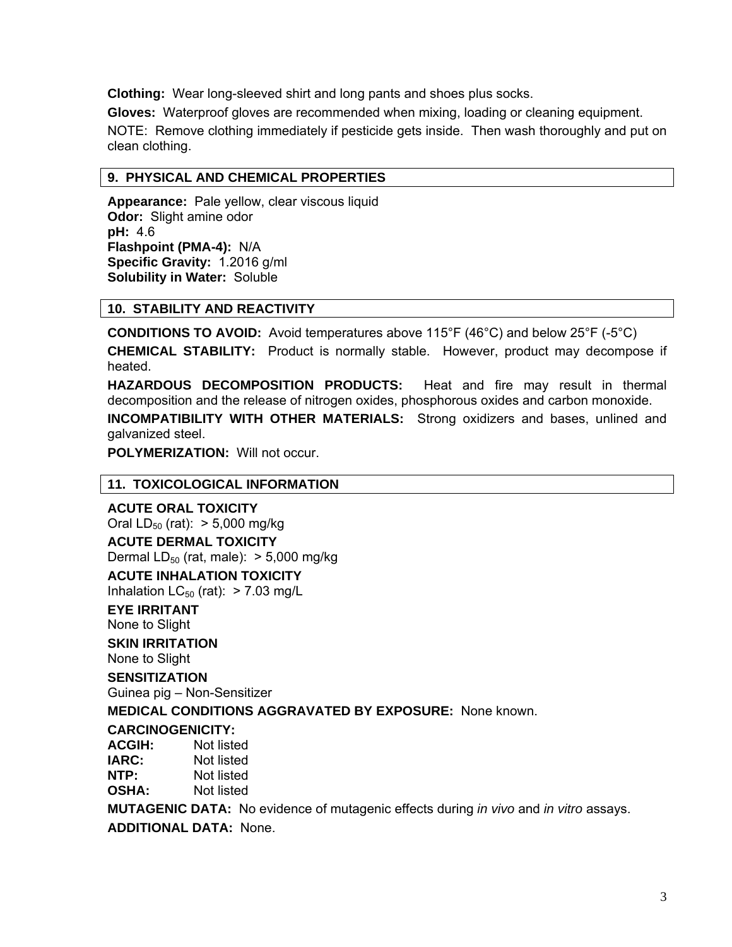**Clothing:** Wear long-sleeved shirt and long pants and shoes plus socks.

**Gloves:** Waterproof gloves are recommended when mixing, loading or cleaning equipment.

NOTE: Remove clothing immediately if pesticide gets inside. Then wash thoroughly and put on clean clothing.

# **9. PHYSICAL AND CHEMICAL PROPERTIES**

**Appearance:** Pale yellow, clear viscous liquid **Odor:** Slight amine odor **pH:** 4.6 **Flashpoint (PMA-4):** N/A **Specific Gravity:** 1.2016 g/ml **Solubility in Water:** Soluble

# **10. STABILITY AND REACTIVITY**

**CONDITIONS TO AVOID:** Avoid temperatures above 115°F (46°C) and below 25°F (-5°C)

**CHEMICAL STABILITY:** Product is normally stable. However, product may decompose if heated.

**HAZARDOUS DECOMPOSITION PRODUCTS:** Heat and fire may result in thermal decomposition and the release of nitrogen oxides, phosphorous oxides and carbon monoxide.

**INCOMPATIBILITY WITH OTHER MATERIALS:** Strong oxidizers and bases, unlined and galvanized steel.

**POLYMERIZATION:** Will not occur.

## **11. TOXICOLOGICAL INFORMATION**

## **ACUTE ORAL TOXICITY**

Oral  $LD_{50}$  (rat):  $> 5,000$  mg/kg **ACUTE DERMAL TOXICITY** 

Dermal  $LD_{50}$  (rat, male):  $> 5,000$  mg/kg

# **ACUTE INHALATION TOXICITY**

Inhalation  $LC_{50}$  (rat): > 7.03 mg/L

# **EYE IRRITANT**

None to Slight

## **SKIN IRRITATION**

None to Slight

## **SENSITIZATION**

Guinea pig – Non-Sensitizer

**MEDICAL CONDITIONS AGGRAVATED BY EXPOSURE:** None known.

## **CARCINOGENICITY:**

**ACGIH:** Not listed **IARC:** Not listed **NTP:** Not listed **OSHA:** Not listed

**MUTAGENIC DATA:** No evidence of mutagenic effects during *in vivo* and *in vitro* assays. **ADDITIONAL DATA:** None.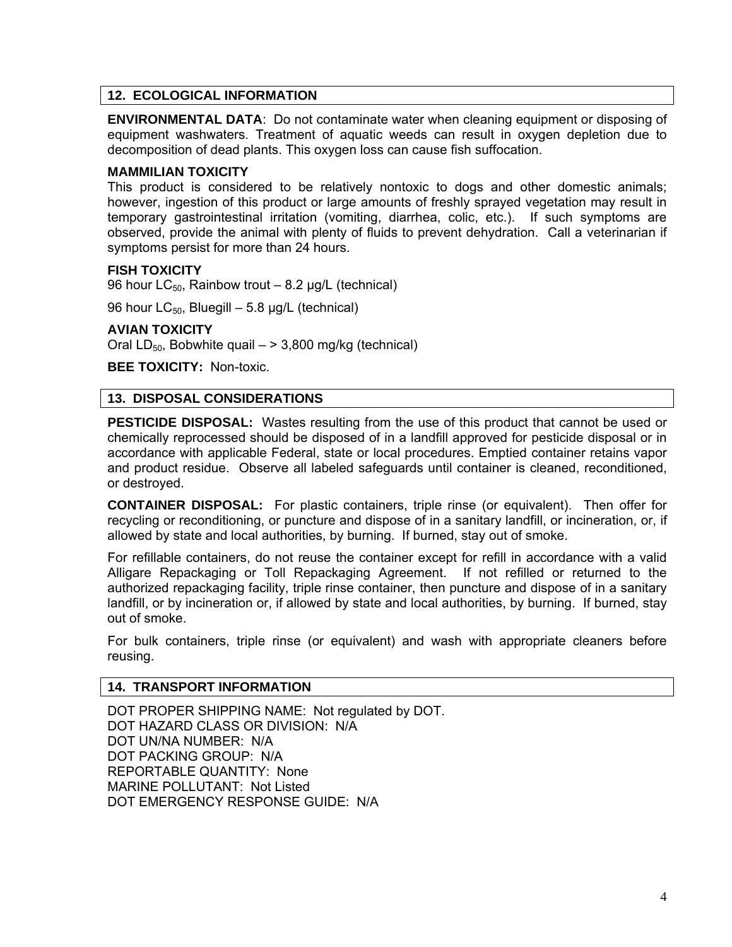# **12. ECOLOGICAL INFORMATION**

**ENVIRONMENTAL DATA**: Do not contaminate water when cleaning equipment or disposing of equipment washwaters. Treatment of aquatic weeds can result in oxygen depletion due to decomposition of dead plants. This oxygen loss can cause fish suffocation.

#### **MAMMILIAN TOXICITY**

This product is considered to be relatively nontoxic to dogs and other domestic animals; however, ingestion of this product or large amounts of freshly sprayed vegetation may result in temporary gastrointestinal irritation (vomiting, diarrhea, colic, etc.). If such symptoms are observed, provide the animal with plenty of fluids to prevent dehydration. Call a veterinarian if symptoms persist for more than 24 hours.

#### **FISH TOXICITY**

96 hour  $LC_{50}$ , Rainbow trout – 8.2 µg/L (technical)

96 hour  $LC_{50}$ , Bluegill – 5.8 µg/L (technical)

#### **AVIAN TOXICITY**

Oral LD<sub>50</sub>, Bobwhite quail  $-$  > 3,800 mg/kg (technical)

**BEE TOXICITY:** Non-toxic.

## **13. DISPOSAL CONSIDERATIONS**

**PESTICIDE DISPOSAL:** Wastes resulting from the use of this product that cannot be used or chemically reprocessed should be disposed of in a landfill approved for pesticide disposal or in accordance with applicable Federal, state or local procedures. Emptied container retains vapor and product residue. Observe all labeled safeguards until container is cleaned, reconditioned, or destroyed.

**CONTAINER DISPOSAL:** For plastic containers, triple rinse (or equivalent). Then offer for recycling or reconditioning, or puncture and dispose of in a sanitary landfill, or incineration, or, if allowed by state and local authorities, by burning. If burned, stay out of smoke.

For refillable containers, do not reuse the container except for refill in accordance with a valid Alligare Repackaging or Toll Repackaging Agreement. If not refilled or returned to the authorized repackaging facility, triple rinse container, then puncture and dispose of in a sanitary landfill, or by incineration or, if allowed by state and local authorities, by burning. If burned, stay out of smoke.

For bulk containers, triple rinse (or equivalent) and wash with appropriate cleaners before reusing.

#### **14. TRANSPORT INFORMATION**

DOT PROPER SHIPPING NAME: Not regulated by DOT. DOT HAZARD CLASS OR DIVISION: N/A DOT UN/NA NUMBER: N/A DOT PACKING GROUP: N/A REPORTABLE QUANTITY: None MARINE POLLUTANT: Not Listed DOT EMERGENCY RESPONSE GUIDE: N/A